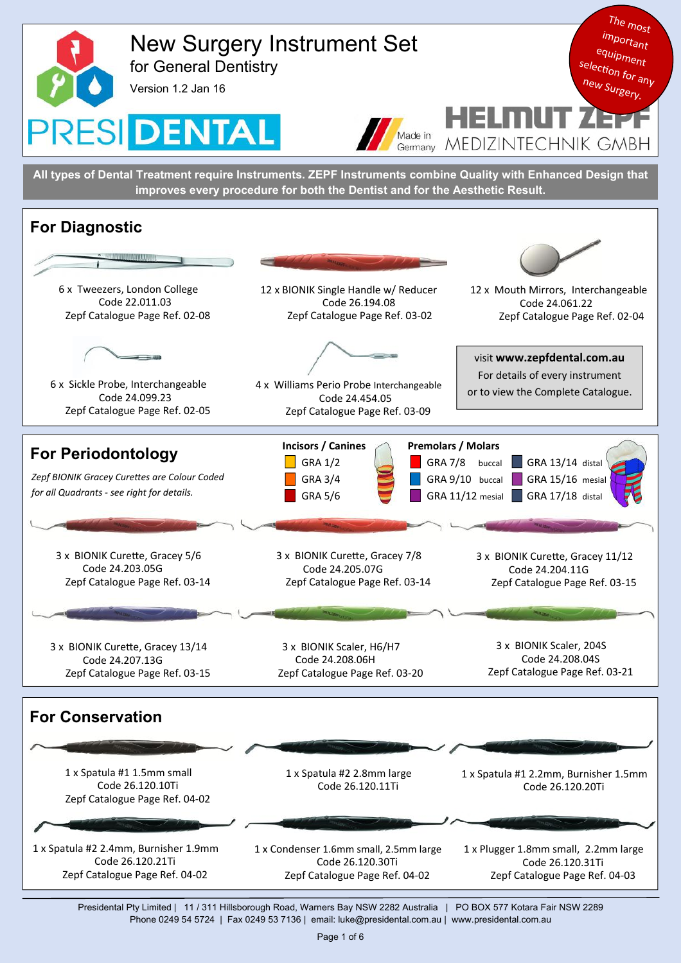

Presidental Pty Limited | 11 / 311 Hillsborough Road, Warners Bay NSW 2282 Australia | PO BOX 577 Kotara Fair NSW 2289 Phone 0249 54 5724 | Fax 0249 53 7136 | email: luke@presidental.com.au | www.presidental.com.au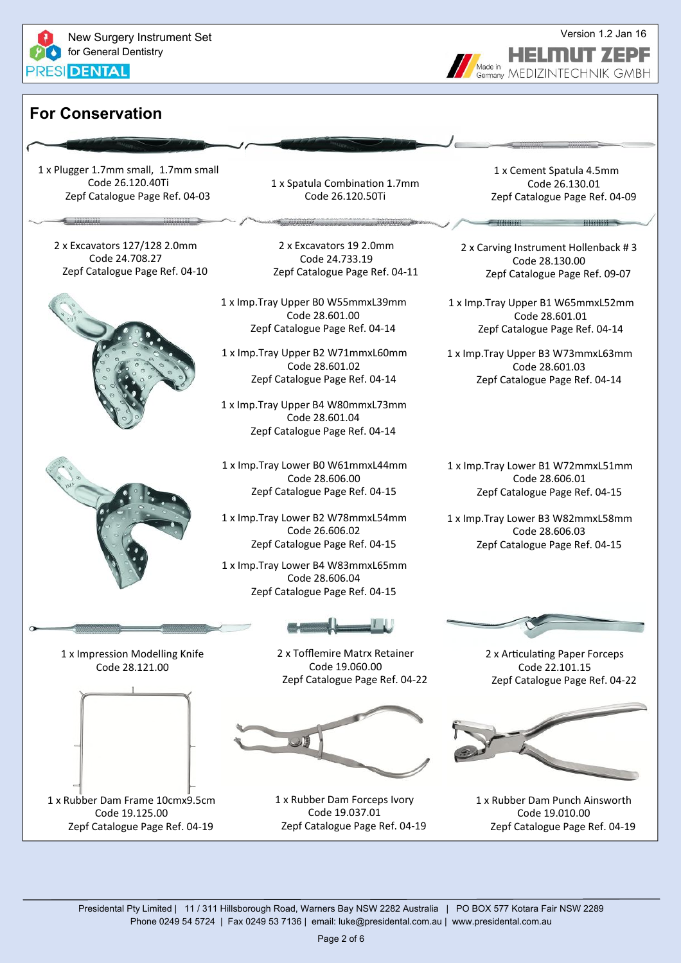

# **For Conservation**

1 x Plugger 1.7mm small, 1.7mm small Code 26.120.40Ti Zepf Catalogue Page Ref. 04‐03

2 x Excavators 127/128 2.0mm Code 24.708.27 Zepf Catalogue Page Ref. 04‐10





1 x Spatula Combination 1.7mm Code 26.120.50Ti

2 x Excavators 19 2.0mm Code 24.733.19 Zepf Catalogue Page Ref. 04‐11

1 x Imp.Tray Upper B0 W55mmxL39mm Code 28.601.00 Zepf Catalogue Page Ref. 04‐14

1 x Imp.Tray Upper B2 W71mmxL60mm Code 28.601.02 Zepf Catalogue Page Ref. 04‐14

1 x Imp.Tray Upper B4 W80mmxL73mm Code 28.601.04 Zepf Catalogue Page Ref. 04‐14

1 x Imp.Tray Lower B0 W61mmxL44mm Code 28.606.00 Zepf Catalogue Page Ref. 04‐15

1 x Imp.Tray Lower B2 W78mmxL54mm Code 26.606.02 Zepf Catalogue Page Ref. 04‐15

1 x Imp.Tray Lower B4 W83mmxL65mm Code 28.606.04 Zepf Catalogue Page Ref. 04‐15

1 x Impression Modelling Knife







2 x Tofflemire Matrx Retainer Code 19.060.00

1 x Rubber Dam Forceps Ivory Code 19.037.01 Zepf Catalogue Page Ref. 04‐19

1 x Cement Spatula 4.5mm Code 26.130.01 Zepf Catalogue Page Ref. 04‐09

<sup>Aade in</sup> MEDIZINTECHNIK GMBH

Made in

2 x Carving Instrument Hollenback # 3 Code 28.130.00 Zepf Catalogue Page Ref. 09‐07

**TERRITE TELEVISION IN THE PRESENT OF A PROPERTY OF A PROPERTY OF A PROPERTY OF A PROPERTY OF A PROPERTY OF A** 

1 x Imp.Tray Upper B1 W65mmxL52mm Code 28.601.01 Zepf Catalogue Page Ref. 04‐14

1 x Imp.Tray Upper B3 W73mmxL63mm Code 28.601.03 Zepf Catalogue Page Ref. 04‐14

1 x Imp.Tray Lower B1 W72mmxL51mm Code 28.606.01 Zepf Catalogue Page Ref. 04‐15

1 x Imp.Tray Lower B3 W82mmxL58mm Code 28.606.03 Zepf Catalogue Page Ref. 04‐15



2 x Articulating Paper Forceps Code 22.101.15 Zepf Catalogue Page Ref. 04‐22



1 x Rubber Dam Punch Ainsworth Code 19.010.00 Zepf Catalogue Page Ref. 04‐19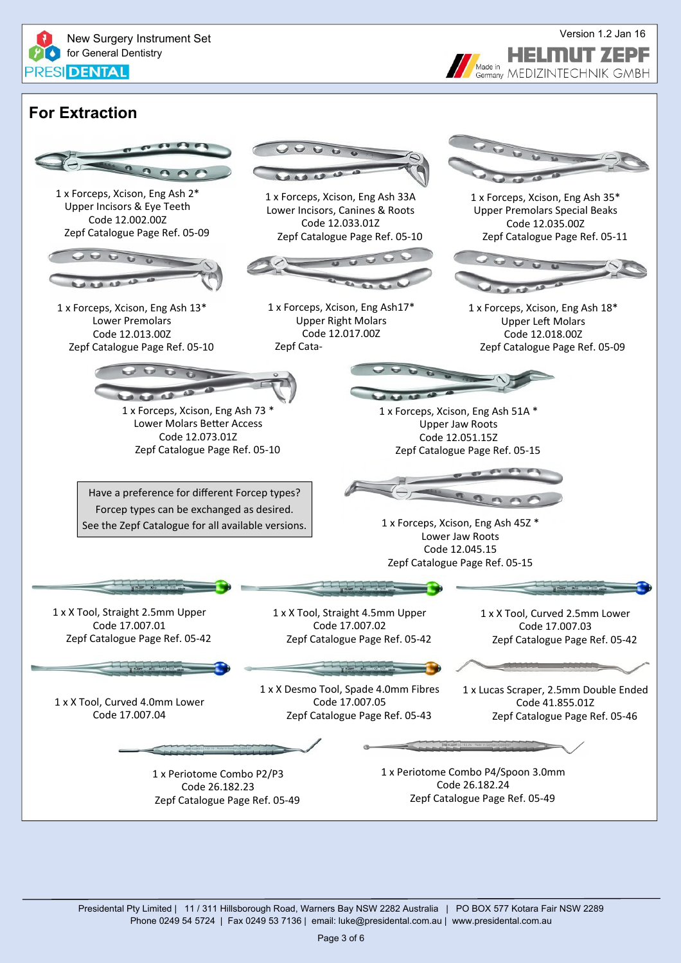

### Version 1.2 Jan 16 HELMUT ZEPF Made in <sup>Aade in</sup> MEDIZINTECHNIK GMBH

# **For Extraction**

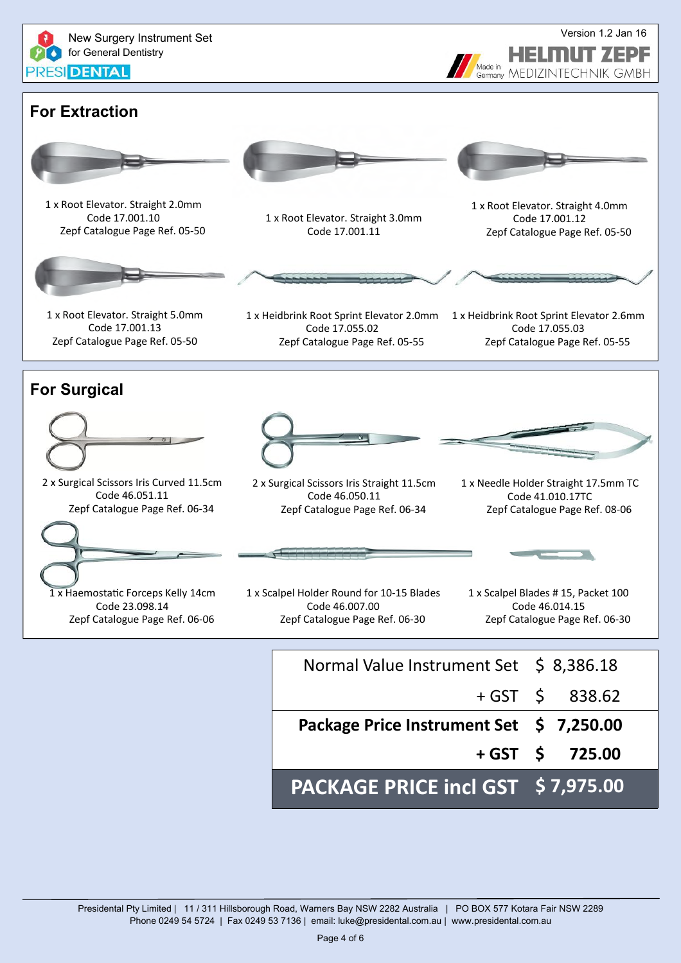

| PACKAGE PRICE incl GST \$7,975.00       |                   |
|-----------------------------------------|-------------------|
|                                         | $+$ GST \$ 725.00 |
| Package Price Instrument Set \$7,250.00 |                   |
|                                         | $+$ GST \$ 838.62 |
| Normal Value Instrument Set \$ 8,386.18 |                   |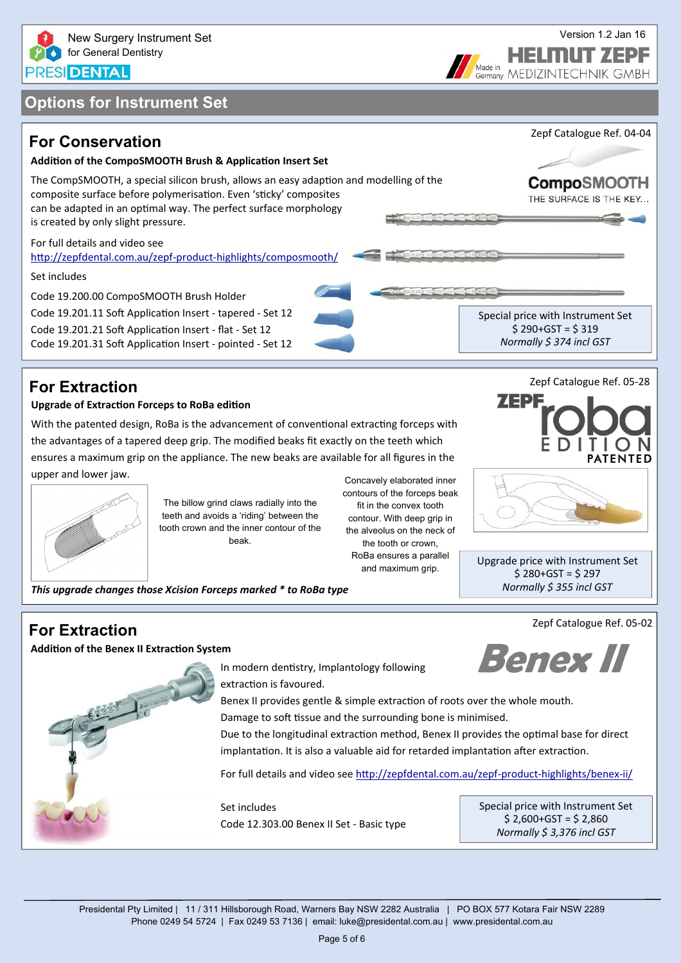

**FELINUT ZEPF** 



## **For Extraction**

### **Upgrade of ExtracƟon Forceps to RoBa ediƟon**

With the patented design, RoBa is the advancement of conventional extracting forceps with the advantages of a tapered deep grip. The modified beaks fit exactly on the teeth which ensures a maximum grip on the appliance. The new beaks are available for all figures in the upper and lower jaw.



The billow grind claws radially into the teeth and avoids a 'riding' between the tooth crown and the inner contour of the beak.

Concavely elaborated inner contours of the forceps beak fit in the convex tooth contour. With deep grip in the alveolus on the neck of the tooth or crown, RoBa ensures a parallel and maximum grip.

**TENTED** 

ZEPI:

Zepf Catalogue Ref. 05‐28

Upgrade price with Instrument Set  $$280+GST = $297$ *Normally \$ 355 incl GST*

Zepf Catalogue Ref. 05‐02

**For Extraction** 

**AddiƟon of the Benex II ExtracƟon System**

**Benex II** 



In modern dentistry, Implantology following extraction is favoured.

Benex II provides gentle & simple extraction of roots over the whole mouth. Damage to soft tissue and the surrounding bone is minimised.

Due to the longitudinal extraction method. Benex II provides the optimal base for direct implantation. It is also a valuable aid for retarded implantation after extraction.

For full details and video see htt[p://zepfdental.com.au/zepf](http://zepfdental.com.au/zepf-product-highlights/benex-ii/)-product-highlights/benex-ii/

Set includes Code 12.303.00 Benex II Set ‐ Basic type Special price with Instrument Set  $$ 2,600+GST = $ 2,860$ *Normally \$ 3,376 incl GST*